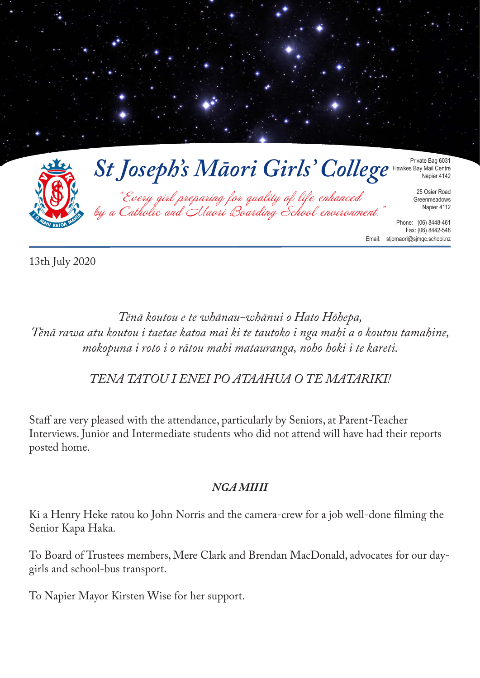

13th July 2020

*Tēnā koutou e te whānau-whānui o Hato Hōhepa, Tēnā rawa atu koutou i taetae katoa mai ki te tautoko i nga mahi a o koutou tamahine, mokopuna i roto i o rātou mahi matauranga, noho hoki i te kareti.* 

*TENA TATOU I ENEI PO ATAAHUA O TE MATARIKI!*

Staff are very pleased with the attendance, particularly by Seniors, at Parent-Teacher Interviews. Junior and Intermediate students who did not attend will have had their reports posted home.

# *NGA MIHI*

Ki a Henry Heke ratou ko John Norris and the camera-crew for a job well-done filming the Senior Kapa Haka.

To Board of Trustees members, Mere Clark and Brendan MacDonald, advocates for our daygirls and school-bus transport.

To Napier Mayor Kirsten Wise for her support.